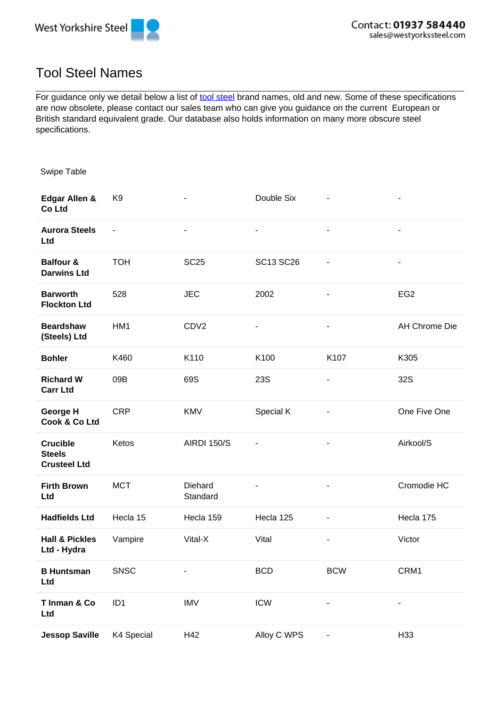



## Tool Steel Names

For guidance only we detail below a list of tool steel brand names, old and new. Some of these specifications are now obsolete, please contact our sales team who can give you guidance on the current European or British standard equivalent grade. Our database also holds information on many more obscure steel specifications.

Swipe Table

| Edgar Allen &<br>Co Ltd                                 | K <sub>9</sub>  |                          | Double Six               |                              | $\overline{a}$           |
|---------------------------------------------------------|-----------------|--------------------------|--------------------------|------------------------------|--------------------------|
| <b>Aurora Steels</b><br>Ltd                             | $\blacksquare$  | $\overline{\phantom{a}}$ | $\blacksquare$           | $\blacksquare$               | $\blacksquare$           |
| <b>Balfour &amp;</b><br><b>Darwins Ltd</b>              | <b>TOH</b>      | <b>SC25</b>              | SC13 SC26                | $\overline{\phantom{0}}$     | $\blacksquare$           |
| <b>Barworth</b><br><b>Flockton Ltd</b>                  | 528             | <b>JEC</b>               | 2002                     |                              | EG <sub>2</sub>          |
| <b>Beardshaw</b><br>(Steels) Ltd                        | HM1             | CDV <sub>2</sub>         | $\overline{\phantom{0}}$ | $\overline{\phantom{0}}$     | AH Chrome Die            |
| <b>Bohler</b>                                           | K460            | K110                     | K100                     | K107                         | K305                     |
| <b>Richard W</b><br><b>Carr Ltd</b>                     | 09B             | 69S                      | <b>23S</b>               | $\overline{\phantom{a}}$     | <b>32S</b>               |
| George H<br>Cook & Co Ltd                               | <b>CRP</b>      | <b>KMV</b>               | Special K                | $\overline{\phantom{m}}$     | One Five One             |
| <b>Crucible</b><br><b>Steels</b><br><b>Crusteel Ltd</b> | Ketos           | <b>AIRDI 150/S</b>       | -                        | $\overline{\phantom{a}}$     | Airkool/S                |
| <b>Firth Brown</b><br>Ltd                               | <b>MCT</b>      | Diehard<br>Standard      | ٠                        |                              | Cromodie HC              |
| <b>Hadfields Ltd</b>                                    | Hecla 15        | Hecla 159                | Hecla 125                | $\qquad \qquad \blacksquare$ | Hecla 175                |
| <b>Hall &amp; Pickles</b><br>Ltd - Hydra                | Vampire         | Vital-X                  | Vital                    | $\qquad \qquad \blacksquare$ | Victor                   |
| <b>B Huntsman</b><br>Ltd                                | SNSC            |                          | <b>BCD</b>               | <b>BCW</b>                   | CRM1                     |
| T Inman & Co<br>Ltd                                     | ID <sub>1</sub> | <b>IMV</b>               | <b>ICW</b>               | ÷,                           | $\overline{\phantom{0}}$ |
| <b>Jessop Saville</b>                                   | K4 Special      | H42                      | Alloy C WPS              | $\overline{\phantom{0}}$     | H33                      |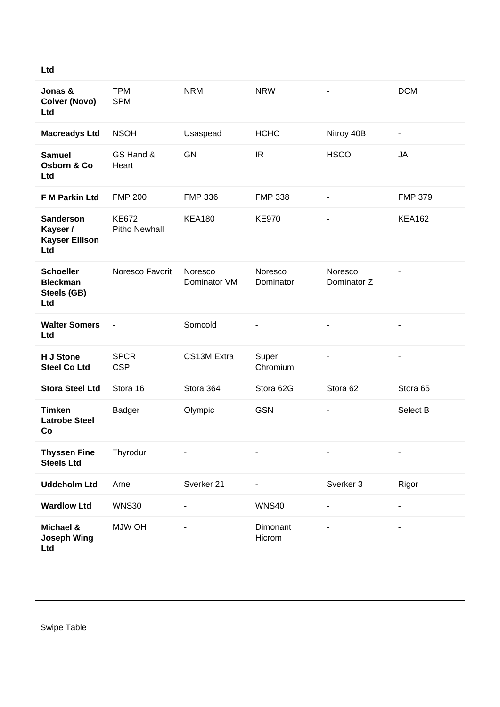| $\sim$ | ×<br>., |
|--------|---------|

| Jonas &<br><b>Colver (Novo)</b><br>Ltd                       | <b>TPM</b><br><b>SPM</b>      | <b>NRM</b>              | <b>NRW</b>           |                          | <b>DCM</b>     |
|--------------------------------------------------------------|-------------------------------|-------------------------|----------------------|--------------------------|----------------|
| <b>Macreadys Ltd</b>                                         | <b>NSOH</b>                   | Usaspead                | <b>HCHC</b>          | Nitroy 40B               | $\blacksquare$ |
| <b>Samuel</b><br>Osborn & Co<br>Ltd                          | GS Hand &<br>Heart            | <b>GN</b>               | IR.                  | <b>HSCO</b>              | <b>JA</b>      |
| F M Parkin Ltd                                               | <b>FMP 200</b>                | <b>FMP 336</b>          | <b>FMP 338</b>       | $\overline{\phantom{a}}$ | <b>FMP 379</b> |
| <b>Sanderson</b><br>Kayser /<br><b>Kayser Ellison</b><br>Ltd | <b>KE672</b><br>Pitho Newhall | <b>KEA180</b>           | <b>KE970</b>         |                          | <b>KEA162</b>  |
| <b>Schoeller</b><br><b>Bleckman</b><br>Steels (GB)<br>Ltd    | Noresco Favorit               | Noresco<br>Dominator VM | Noresco<br>Dominator | Noresco<br>Dominator Z   |                |
| <b>Walter Somers</b><br>Ltd                                  |                               | Somcold                 |                      |                          |                |
| H J Stone<br><b>Steel Co Ltd</b>                             | <b>SPCR</b><br><b>CSP</b>     | CS13M Extra             | Super<br>Chromium    | $\overline{\phantom{m}}$ |                |
| <b>Stora Steel Ltd</b>                                       | Stora 16                      | Stora 364               | Stora 62G            | Stora 62                 | Stora 65       |
| <b>Timken</b><br><b>Latrobe Steel</b><br>Co                  | Badger                        | Olympic                 | <b>GSN</b>           |                          | Select B       |
| <b>Thyssen Fine</b><br><b>Steels Ltd</b>                     | Thyrodur                      |                         |                      |                          |                |
| <b>Uddeholm Ltd</b>                                          | Arne                          | Sverker 21              |                      | Sverker 3                | Rigor          |
| <b>Wardlow Ltd</b>                                           | <b>WNS30</b>                  |                         | <b>WNS40</b>         |                          |                |
| Michael &<br><b>Joseph Wing</b><br>Ltd                       | <b>MJW OH</b>                 |                         | Dimonant<br>Hicrom   |                          |                |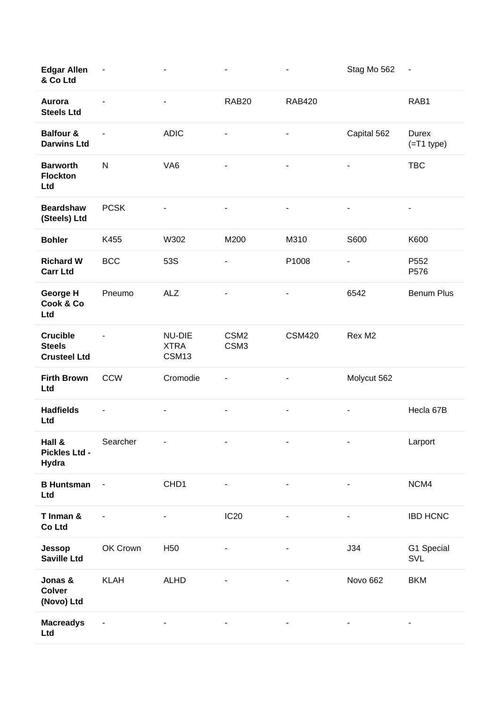| <b>Edgar Allen</b><br>& Co Ltd                          | $\blacksquare$           |                                | ٠                                    |                          | Stag Mo 562              | ٠                     |
|---------------------------------------------------------|--------------------------|--------------------------------|--------------------------------------|--------------------------|--------------------------|-----------------------|
| Aurora<br><b>Steels Ltd</b>                             |                          | $\overline{\phantom{a}}$       | RAB <sub>20</sub>                    | <b>RAB420</b>            |                          | RAB1                  |
| <b>Balfour &amp;</b><br><b>Darwins Ltd</b>              |                          | <b>ADIC</b>                    | ۰                                    |                          | Capital 562              | Durex<br>$(=T1$ type) |
| <b>Barworth</b><br><b>Flockton</b><br>Ltd               | ${\sf N}$                | VA <sub>6</sub>                | ÷                                    |                          | $\overline{\phantom{a}}$ | <b>TBC</b>            |
| <b>Beardshaw</b><br>(Steels) Ltd                        | <b>PCSK</b>              |                                | $\overline{\phantom{0}}$             | $\overline{\phantom{a}}$ | $\overline{\phantom{a}}$ | $\blacksquare$        |
| <b>Bohler</b>                                           | K455                     | W302                           | M200                                 | M310                     | S600                     | K600                  |
| <b>Richard W</b><br><b>Carr Ltd</b>                     | <b>BCC</b>               | 53S                            | ۰                                    | P1008                    | $\blacksquare$           | P552<br>P576          |
| George H<br>Cook & Co<br>Ltd                            | Pneumo                   | <b>ALZ</b>                     | ۰                                    | ٠                        | 6542                     | <b>Benum Plus</b>     |
| <b>Crucible</b><br><b>Steels</b><br><b>Crusteel Ltd</b> |                          | NU-DIE<br><b>XTRA</b><br>CSM13 | CSM <sub>2</sub><br>CSM <sub>3</sub> | <b>CSM420</b>            | Rex M2                   |                       |
| <b>Firth Brown</b>                                      | <b>CCW</b>               | Cromodie                       |                                      | ٠                        | Molycut 562              |                       |
| Ltd                                                     |                          |                                |                                      |                          |                          |                       |
| <b>Hadfields</b><br>Ltd                                 |                          |                                | ۰                                    | -                        | ٠                        | Hecla 67B             |
| Hall &<br>Pickles Ltd -<br>Hydra                        | Searcher                 |                                |                                      |                          |                          | Larport               |
| <b>B Huntsman</b><br>Ltd                                | $\overline{\phantom{a}}$ | CHD1                           |                                      | $\overline{\phantom{a}}$ | $\blacksquare$           | NCM4                  |
| T Inman &<br>Co Ltd                                     |                          | $\overline{\phantom{0}}$       | IC <sub>20</sub>                     |                          | $\blacksquare$           | <b>IBD HCNC</b>       |
| Jessop<br><b>Saville Ltd</b>                            | OK Crown                 | H <sub>50</sub>                |                                      |                          | J34                      | G1 Special<br>SVL     |
| Jonas &<br><b>Colver</b><br>(Novo) Ltd                  | <b>KLAH</b>              | <b>ALHD</b>                    |                                      | $\blacksquare$           | Novo 662                 | <b>BKM</b>            |